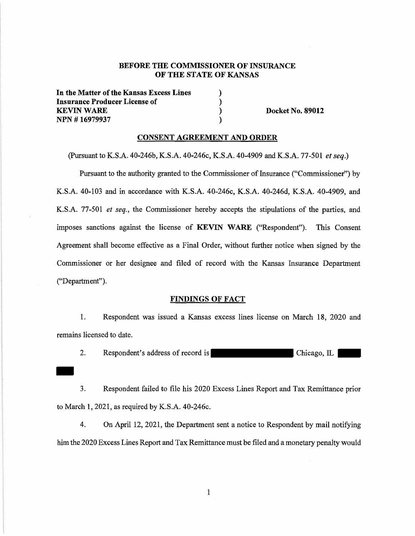# BEFORE THE COMMISSIONER OF INSURANCE OF THE STATE OF KANSAS

) ) ) )

**In the Matter of the Kansas Excess Lines Insurance Producer License** of **KEVIN WARE NPN** # **16979937** 

**Docket No. 89012** 

#### **CONSENT AGREEMENT AND ORDER**

(Pursuant to K.S.A. 40-246b, K.S.A. 40-246c, K.S.A. 40-4909 and K.S.A. 77-501 *et seq.)* 

Pursuant to the authority granted to the Commissioner of Insurance ("Commissioner'') by K.S.A. 40-103 and in accordance with K.S.A. 40-246c, K.S.A. 40-246d, K.S.A. 40-4909, and K.S.A. 77-501 *et seq.,* the Commissioner hereby accepts the stipulations of the parties, and imposes sanctions against the license of **KEVIN WARE** ("Respondent"). This Consent Agreement shall become effective as a Final Order, without further notice when signed by the Commissioner or her designee and filed of record with the Kansas Insurance Department ("Department").

#### **FINDINGS OF FACT**

1. Respondent was issued a Kansas excess lines license on March 18, 2020 and remains licensed to date.

2. Respondent's address of record is Chicago, IL

3. Respondent failed to file his 2020 Excess Lines Report and Tax Remittance prior to March I, 2021, as required by K.S.A. 40-246c.

4. On April 12, 2021, the Department sent a notice to Respondent by mail notifying him the 2020 Excess Lines Report and Tax Remittance must be filed and a monetary penalty would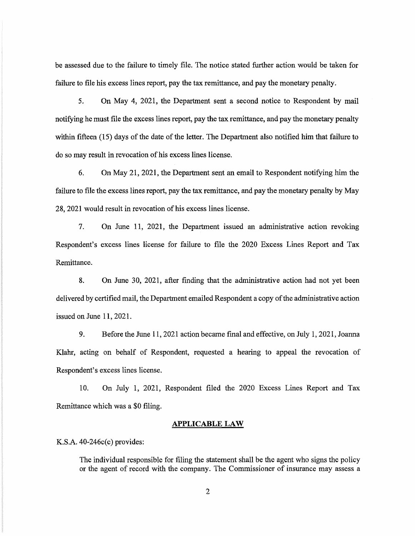be assessed due to the failure to timely file. The notice stated further action would be taken for failure to file his excess lines report, pay the tax remittance, and pay the monetary penalty.

5. On May 4, 202L, the Department sent a second notice to Respondent by mail notifying he must file the excess lines report, pay the tax remittance, and pay the monetary penalty within fifteen (15) days of the date of the letter. The Department also notified him that failure to do so may result in revocation of his excess lines license.

6. On May 21, 2021, the Department sent an email to Respondent notifying him the failure to file the excess lines report, pay the tax remittance, and pay the monetary penalty by May 28, 2021 would result in revocation of his excess lines license.

7. On June 11, 2021, the Department issued an administrative action revoking Respondent's excess lines license for failure to file the 2020 Excess Lines Report and Tax Remittance.

8. On June 30, 2021, after fmding that the administrative action had not yet been delivered by certified mail, the Department emailed Respondent a copy of the administrative action issued on June 11, 2021.

9. Before the June 11, 2021 action became final and effective, on July 1, 2021, Joanna Klahr, acting on behalf of Respondent, requested a hearing to appeal the revocation of Respondent's excess lines license.

10. On July 1, 2021, Respondent filed the 2020 Excess Lines Report and Tax Remittance which was a \$0 filing.

#### **APPLICABLE LAW**

K.S.A. 40-246c(c) provides:

The individual responsible for filing the statement shall be the agent who signs the policy or the agent of record with the company. The Commissioner of insurance may assess a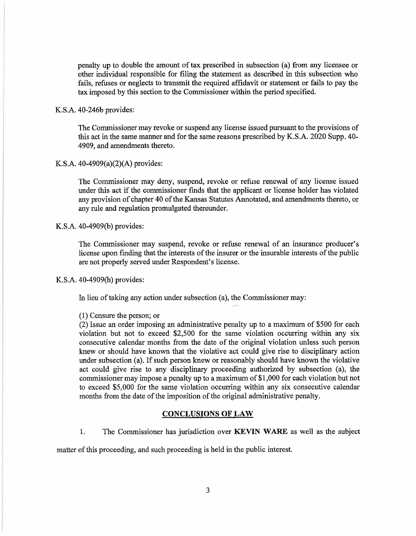penalty up to double the amount of tax prescribed in subsection (a) from any licensee or other individual responsible for filing the statement as described in this subsection who fails, refuses or neglects to transmit the required affidavit or statement or fails to pay the tax imposed by this section to the Commissioner within the period specified.

#### K.S.A. 40-246b provides:

The Commissioner may revoke or suspend any license issued pursuant to the provisions of this act in the same manner and for the same reasons prescribed by K.S.A. 2020 Supp. 40- 4909, and amendments thereto.

#### K.S.A. 40-4909(a)(2)(A) provides:

The Commissioner may deny, suspend, revoke or refuse renewal of any license issued under this act if the commissioner finds that the applicant or license holder has violated any provision of chapter 40 of the Kansas Statutes Annotated, and amendments thereto, or any rule and regulation promulgated thereunder.

#### K.S.A. 40-4909(b) provides:

The Commissioner may suspend, revoke or refuse renewal of an insurance producer's license upon finding that the interests of the insurer or the insurable interests of the public are not properly served under Respondent's license.

#### K.S.A. 40-4909(h) provides:

In lieu of taking any action under subsection (a), the Commissioner may:

#### (1) Censure the person; or

(2) Issue an order imposing an administrative penalty up to a maximum of \$500 for each violation but not to exceed \$2,500 for the same violation occurring within any six consecutive calendar months from the date of the original violation unless such person knew or should have known that the violative act could give rise to disciplinary action under subsection (a). If such person knew or reasonably should have known the violative act could give rise to any disciplinary proceeding authorized by subsection (a), the commissioner may impose a penalty up to a maximum of \$1,000 for each violation but not to exceed \$5,000 for the same violation occurring within any six consecutive calendar months from the date of the imposition of the original administrative penalty.

# **CONCLUSIONS OF LAW**

1. The Commissioner has jurisdiction over **KEVIN WARE** as well as the subject

matter of this proceeding, and such proceeding is held in the public interest.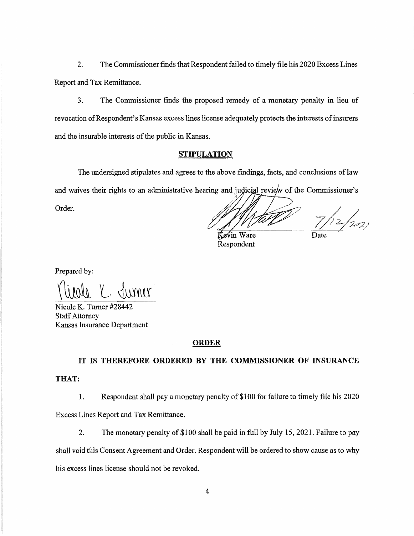2. The Commissioner fmds that Respondent failed to timely file his 2020 Excess Lines Report and Tax Remittance.

3. The Commissioner finds the proposed remedy of a monetary penalty in lieu of revocation of Respondent's Kansas excess lines license adequately protects the interests of insurers and the insurable interests of the public in Kansas.

# **STIPULATION**

The undersigned stipulates and agrees to the above findings, facts, and conclusions of law and waives their rights to an administrative hearing and judicial review of the Commissioner's

Order.

~1

 $7/12/202$ 

Kevin Ware Respondent

Prepared by:

Jurner

Nicole K. Turner #28442 Staff Attorney Kansas Insurance Department

#### **ORDER**

# **IT IS THEREFORE ORDERED BY THE COMMISSIONER OF INSURANCE**

#### **THAT:**

1. Respondent shall pay a monetary penalty of \$100 for failure to timely file his 2020

Excess Lines Report and Tax Remittance.

2. The monetary penalty of \$100 shall be paid in full by July 15, 2021. Failure to pay

shall void this Consent Agreement and Order. Respondent will be ordered to show cause as to why

his excess lines license should not be revoked.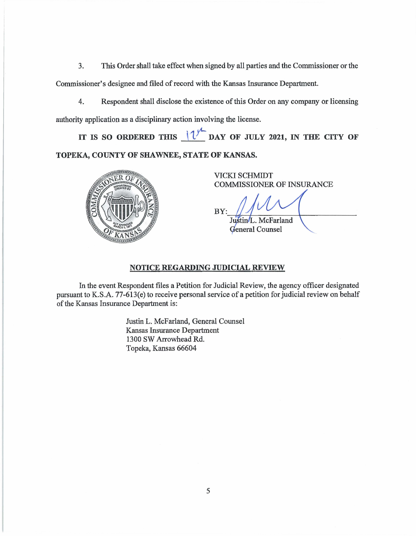3. This Order shall take effect when signed by all parties and the Commissioner or the Commissioner's designee and filed of record with the Kansas Insurance Department.

4. Respondent shall disclose the existence of this Order on any company or licensing authority application as a disciplinary action involving the license.

IT IS SO ORDERED THIS  $1/\sqrt{2}$  DAY OF JULY 2021, IN THE CITY OF TOPEKA, COUNTY OF SHAWNEE, STATE OF KANSAS.



VICKI SCHMIDT COMMISSIONER OF INSURANCE

BY: Justin/L. McFarland

General Counsel

# **NOTICE REGARDING JUDICIAL REVIEW**

In the event Respondent files a Petition for Judicial Review, the agency officer designated pursuant to K.S.A. 77-613(e) to receive personal service of a petition for judicial review on behalf of the Kansas Insurance Department is:

> Justin L. McFarland, General Counsel Kansas Insurance Department 1300 SW Arrowhead Rd. Topeka, Kansas 66604